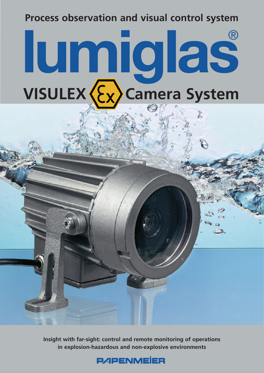# **Process observation and visual control system**

# **VISULEX (Ex) Camera System** ®

**Insight with far-sight: control and remote monitoring of operations in explosion-hazardous and non-explosive environments**

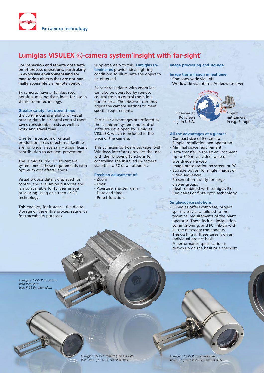

## Lumiglas VISULEX &-camera system`insight with far-sight<sup>2</sup>

**For inspection and remote observation of process operations, particularly in explosive environmentsand for monitoring objects that are not normally accessible via remote control.**

Ex-cameras have a stainless steel housing, making them ideal for use in sterile room technology.

**Greater safety, less down-time:** the continuous availability of visual process data in a central control room saves considerable costs as well as work and travel time.

On-site inspections of critical production areas or external facilities are no longer necessary – a significant contribution to accident prevention!

The Lumiglas VISULEX Ex-camera system meets these requirements with optimum cost effectiveness.

Visual process data is displayed for control and evaluation purposes and is also available for further image processing using on-screen or PC technology.

This enables, for instance, the digital storage of the entire process sequence for traceability purposes.

Supplementary to this, **Lumiglas Exluminaires** provide ideal lighting conditions to illuminate the object to be observed.

Ex-camera variants with zoom lens can also be operated by remote control from a control room in a non-ex area. The observer can thus adjust the camera settings to meet specific requirements.

Particular advantages are offered by the `Lumicam´ system and control software developed by Lumiglas VISULEX, which is included in the price of the camera.

This Lumicam software package (with Windows interface) provides the user with the following functions for controlling the installed Ex-camera via either a PC or a notebook:

#### **Precision adjustment of:**

- Zoom
- Focus
- Aperture, shutter, gain
- Date and time
- Preset functions

#### **Image processing and storage**

**Image transmission in real time:**

- Company-wide via LAN
- Worldwide via Internet/Videowebserver

via Interna Observer at PC screen e.g. in U.S.A.



#### **All the advantages at a glance:**

- Compact size of Ex-camera
- Simple installation and operation - Minimal space requirement
- Data transfer in the Ex environment up to 500 m via video cable or
- worldwide via web - Image presentation on screen or PC
- Storage option for single images or video sequences
- Presentation facility for large viewer groups
- Ideal combined with Lumiglas Exluminaires or fibre optic technology

#### **Single-source solutions:**

- Lumiglas offers complete, project specific services, tailored to the technical requirements of the plant operator. These include installation, commissioning, and PC link-up with all the necessary components. The costing in these cases is on an individual project basis. A performance specification is drawn up on the basis of a checklist.

*Lumiglas VISULEX Ex-camera with fixed lens, type K 06-Ex, aluminium*



*Lumiglas VISULEX Ex-camera with zoom lens, type K 25-Ex, stainless steel*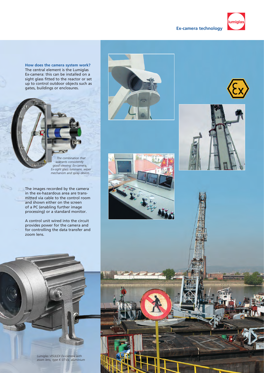### **Ex-camera technology**



 *The combination that warrants consistently good viewing: Ex-camera, Ex-sight glass luminaire, wiper mechanism and spray device.*

The images recorded by the camera in the ex-hazardous area are transmitted via cable to the control room and shown either on the screen of a PC (enabling further image processing) or a standard monitor.

A control unit wired into the circuit provides power for the camera and for controlling the data transfer and zoom lens.



umiglas